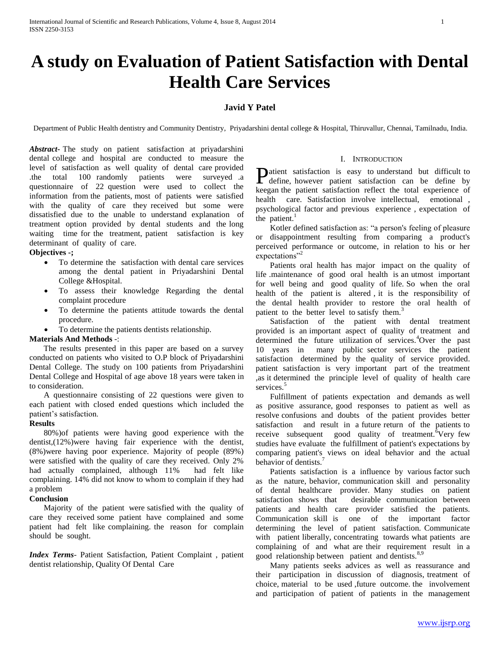# **A study on Evaluation of Patient Satisfaction with Dental Health Care Services**

## **Javid Y Patel**

Department of Public Health dentistry and Community Dentistry, Priyadarshini dental college & Hospital, Thiruvallur, Chennai, Tamilnadu, India.

*Abstract***-** The study on patient satisfaction at priyadarshini dental college and hospital are conducted to measure the level of satisfaction as well quality of dental care provided<br>the total 100 randomly patients were surveyed a .the total 100 randomly patients were surveyed .a questionnaire of 22 question were used to collect the information from the patients, most of patients were satisfied with the quality of care they received but some were dissatisfied due to the unable to understand explanation of treatment option provided by dental students and the long waiting time for the treatment, patient satisfaction is key determinant of quality of care.

#### **Objectives -;**

- To determine the satisfaction with dental care services among the dental patient in Priyadarshini Dental College &Hospital.
- To assess their knowledge Regarding the dental complaint procedure
- To determine the patients attitude towards the dental procedure.
- To determine the patients dentists relationship.

#### **Materials And Methods** -:

 The results presented in this paper are based on a survey conducted on patients who visited to O.P block of Priyadarshini Dental College. The study on 100 patients from Priyadarshini Dental College and Hospital of age above 18 years were taken in to consideration.

 A questionnaire consisting of 22 questions were given to each patient with closed ended questions which included the patient's satisfaction.

## **Results**

 80%)of patients were having good experience with the dentist,(12%)were having fair experience with the dentist, (8%)were having poor experience. Majority of people (89%) were satisfied with the quality of care they received. Only 2% had actually complained, although 11% had felt like complaining. 14% did not know to whom to complain if they had a problem

## **Conclusion**

 Majority of the patient were satisfied with the quality of care they received some patient have complained and some patient had felt like complaining. the reason for complain should be sought.

*Index Terms*- Patient Satisfaction, Patient Complaint , patient dentist relationship, Quality Of Dental Care

#### I. INTRODUCTION

atient satisfaction is easy to understand but difficult to **D**atient satisfaction is easy to understand but difficult to define, however patient satisfaction can be define by keegan the patient satisfaction reflect the total experience of health care. Satisfaction involve intellectual, emotional , psychological factor and previous experience , expectation of the patient. $<sup>1</sup>$ </sup>

 Kotler defined satisfaction as: "a person's feeling of pleasure or disappointment resulting from comparing a product's perceived performance or outcome, in relation to his or her expectations"<sup>2</sup>

 Patients oral health has major impact on the quality of life .maintenance of good oral health is an utmost important for well being and good quality of life. So when the oral health of the patient is altered , it is the responsibility of the dental health provider to restore the oral health of patient to the better level to satisfy them.<sup>3</sup>

 Satisfaction of the patient with dental treatment provided is an important aspect of quality of treatment and determined the future utilization of services.<sup>4</sup>Over the past 10 years in many public sector services the patient satisfaction determined by the quality of service provided. patient satisfaction is very important part of the treatment ,as it determined the principle level of quality of health care services.<sup>5</sup>

 Fulfillment of patients expectation and demands as well as positive assurance, good responses to patient as well as resolve confusions and doubts of the patient provides better satisfaction and result in a future return of the patients to receive subsequent good quality of treatment.<sup>6</sup>Very few studies have evaluate the fulfillment of patient's expectations by comparing patient's views on ideal behavior and the actual behavior of dentists.<sup>7</sup>

 Patients satisfaction is a influence by various factor such as the nature, behavior, communication skill and personality of dental healthcare provider. Many studies on patient satisfaction shows that desirable communication between patients and health care provider satisfied the patients. Communication skill is one of the important factor determining the level of patient satisfaction. Communicate with patient liberally, concentrating towards what patients are complaining of and what are their requirement result in a good relationship between patient and dentists.<sup>8,9</sup>

 Many patients seeks advices as well as reassurance and their participation in discussion of diagnosis, treatment of choice, material to be used ,future outcome. the involvement and participation of patient of patients in the management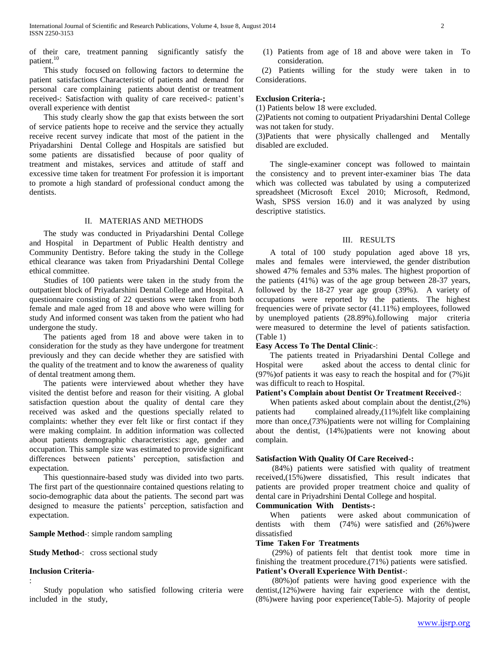of their care, treatment panning significantly satisfy the patient.<sup>10</sup>

 This study focused on following factors to determine the patient satisfactions Characteristic of patients and demand for personal care complaining patients about dentist or treatment received-: Satisfaction with quality of care received-: patient's overall experience with dentist

 This study clearly show the gap that exists between the sort of service patients hope to receive and the service they actually receive recent survey indicate that most of the patient in the Priyadarshini Dental College and Hospitals are satisfied but some patients are dissatisfied because of poor quality of treatment and mistakes, services and attitude of staff and excessive time taken for treatment For profession it is important to promote a high standard of professional conduct among the dentists.

#### II. MATERIAS AND METHODS

 The study was conducted in Priyadarshini Dental College and Hospital in Department of Public Health dentistry and Community Dentistry. Before taking the study in the College ethical clearance was taken from Priyadarshini Dental College ethical committee.

 Studies of 100 patients were taken in the study from the outpatient block of Priyadarshini Dental College and Hospital. A questionnaire consisting of 22 questions were taken from both female and male aged from 18 and above who were willing for study And informed consent was taken from the patient who had undergone the study.

 The patients aged from 18 and above were taken in to consideration for the study as they have undergone for treatment previously and they can decide whether they are satisfied with the quality of the treatment and to know the awareness of quality of dental treatment among them.

 The patients were interviewed about whether they have visited the dentist before and reason for their visiting. A global satisfaction question about the quality of dental care they received was asked and the questions specially related to complaints: whether they ever felt like or first contact if they were making complaint. In addition information was collected about patients demographic characteristics: age, gender and occupation. This sample size was estimated to provide significant differences between patients' perception, satisfaction and expectation.

 This questionnaire-based study was divided into two parts. The first part of the questionnaire contained questions relating to socio-demographic data about the patients. The second part was designed to measure the patients' perception, satisfaction and expectation.

## **Sample Method**-: simple random sampling

#### **Study Method-**: cross sectional study

## **Inclusion Criteria**-

:

(1) Patients from age of 18 and above were taken in To consideration.

 (2) Patients willing for the study were taken in to Considerations.

#### **Exclusion Criteria-;**

(1) Patients below 18 were excluded.

(2)Patients not coming to outpatient Priyadarshini Dental College was not taken for study.

(3)Patients that were physically challenged and Mentally disabled are excluded.

 The single-examiner concept was followed to maintain the consistency and to prevent inter-examiner bias The data which was collected was tabulated by using a computerized spreadsheet (Microsoft Excel 2010; Microsoft, Redmond, Wash, SPSS version 16.0) and it was analyzed by using descriptive statistics.

#### III. RESULTS

 A total of 100 study population aged above 18 yrs, males and females were interviewed, the gender distribution showed 47% females and 53% males. The highest proportion of the patients (41%) was of the age group between 28-37 years, followed by the 18-27 year age group (39%). A variety of occupations were reported by the patients. The highest frequencies were of private sector (41.11%) employees, followed by unemployed patients (28.89%).following major criteria were measured to determine the level of patients satisfaction. (Table 1)

#### **Easy Access To The Dental Clinic**-:

 The patients treated in Priyadarshini Dental College and Hospital were asked about the access to dental clinic for (97%)of patients it was easy to reach the hospital and for (7%)it was difficult to reach to Hospital.

## **Patient's Complain about Dentist Or Treatment Received**-:

 When patients asked about complain about the dentist,(2%) patients had complained already,(11%)felt like complaining more than once,(73%)patients were not willing for Complaining about the dentist, (14%)patients were not knowing about complain.

#### **Satisfaction With Quality Of Care Received-:**

 (84%) patients were satisfied with quality of treatment received,(15%)were dissatisfied, This result indicates that patients are provided proper treatment choice and quality of dental care in Priyadrshini Dental College and hospital.

#### **Communication With Dentists-:**

 When patients were asked about communication of dentists with them (74%) were satisfied and (26%)were dissatisfied

## **Time Taken For Treatments**

 (29%) of patients felt that dentist took more time in finishing the treatment procedure.(71%) patients were satisfied. **Patient's Overall Experience With Dentist-**:

 (80%)of patients were having good experience with the dentist,(12%)were having fair experience with the dentist, (8%)were having poor experience(Table-5). Majority of people

Study population who satisfied following criteria were included in the study,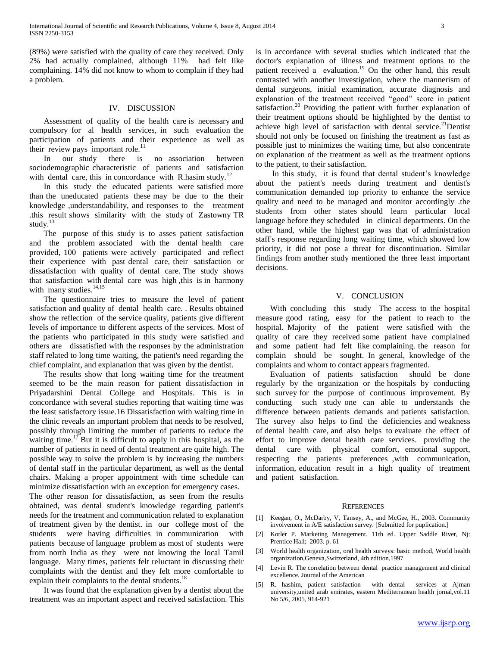(89%) were satisfied with the quality of care they received. Only 2% had actually complained, although 11% had felt like complaining. 14% did not know to whom to complain if they had a problem.

#### IV. DISCUSSION

 Assessment of quality of the health care is necessary and compulsory for al health services, in such evaluation the participation of patients and their experience as well as their review pays important role. $^{11}$ 

 In our study there is no association between sociodemographic characteristic of patients and satisfaction with dental care, this in concordance with R.hasim study.<sup>12</sup>

 In this study the educated patients were satisfied more than the uneducated patients these may be due to the their knowledge ,understandability, and responses to the treatment .this result shows similarity with the study of Zastowny TR study. $^{13}$ 

 The purpose of this study is to asses patient satisfaction and the problem associated with the dental health care provided, 100 patients were actively participated and reflect their experience with past dental care, their satisfaction or dissatisfaction with quality of dental care. The study shows that satisfaction with dental care was high ,this is in harmony with many studies. $^{14,15}$ 

 The questionnaire tries to measure the level of patient satisfaction and quality of dental health care. . Results obtained show the reflection of the service quality, patients give different levels of importance to different aspects of the services. Most of the patients who participated in this study were satisfied and others are dissatisfied with the responses by the administration staff related to long time waiting, the patient's need regarding the chief complaint, and explanation that was given by the dentist.

 The results show that long waiting time for the treatment seemed to be the main reason for patient dissatisfaction in Priyadarshini Dental College and Hospitals. This is in concordance with several studies reporting that waiting time was the least satisfactory issue.16 Dissatisfaction with waiting time in the clinic reveals an important problem that needs to be resolved, possibly through limiting the number of patients to reduce the waiting time.<sup>17</sup>But it is difficult to apply in this hospital, as the number of patients in need of dental treatment are quite high. The possible way to solve the problem is by increasing the numbers of dental staff in the particular department, as well as the dental chairs. Making a proper appointment with time schedule can minimize dissatisfaction with an exception for emergency cases.

The other reason for dissatisfaction, as seen from the results obtained, was dental student's knowledge regarding patient's needs for the treatment and communication related to explanation of treatment given by the dentist. in our college most of the students were having difficulties in communication with patients because of language problem as most of students were from north India as they were not knowing the local Tamil language. Many times, patients felt reluctant in discussing their complaints with the dentist and they felt more comfortable to explain their complaints to the dental students.<sup>18</sup>

 It was found that the explanation given by a dentist about the treatment was an important aspect and received satisfaction. This is in accordance with several studies which indicated that the doctor's explanation of illness and treatment options to the patient received a evaluation.<sup>19</sup> On the other hand, this result contrasted with another investigation, where the mannerism of dental surgeons, initial examination, accurate diagnosis and explanation of the treatment received "good" score in patient satisfaction.<sup>20</sup> Providing the patient with further explanation of their treatment options should be highlighted by the dentist to achieve high level of satisfaction with dental service.<sup>21</sup>Dentist should not only be focused on finishing the treatment as fast as possible just to minimizes the waiting time, but also concentrate on explanation of the treatment as well as the treatment options to the patient, to their satisfaction.

 In this study, it is found that dental student's knowledge about the patient's needs during treatment and dentist's communication demanded top priority to enhance the service quality and need to be managed and monitor accordingly .the students from other states should learn particular local language before they scheduled in clinical departments. On the other hand, while the highest gap was that of administration staff's response regarding long waiting time, which showed low priority, it did not pose a threat for discontinuation. Similar findings from another study mentioned the three least important decisions.

### V. CONCLUSION

 With concluding this study The access to the hospital measure good rating, easy for the patient to reach to the hospital. Majority of the patient were satisfied with the quality of care they received some patient have complained and some patient had felt like complaining. the reason for complain should be sought. In general, knowledge of the complaints and whom to contact appears fragmented.

 Evaluation of patients satisfaction should be done regularly by the organization or the hospitals by conducting such survey for the purpose of continuous improvement. By conducting such study one can able to understands the difference between patients demands and patients satisfaction. The survey also helps to find the deficiencies and weakness of dental health care, and also helps to evaluate the effect of effort to improve dental health care services. providing the dental care with physical comfort, emotional support, respecting the patients preferences ,with communication, information, education result in a high quality of treatment and patient satisfaction.

#### **REFERENCES**

- [1] Keegan, O., McDarby, V, Tansey, A., and McGee, H., 2003. Community involvement in A/E satisfaction survey. [Submitted for puplication.]
- [2] Kotler P. Marketing Management. 11th ed. Upper Saddle River, Nj: Prentice Hall; 2003. p. 61
- [3] World health organization, oral health surveys: basic method, World health organization,Geneva,Switzerland, 4th edition,1997
- [4] Levin R. The correlation between dental practice management and clinical excellence. Journal of the American
- [5] R. hashim, patient satisfaction with dental services at Ajman university,united arab emirates, eastern Mediterranean health jornal,vol.11 No 5/6, 2005, 914-921